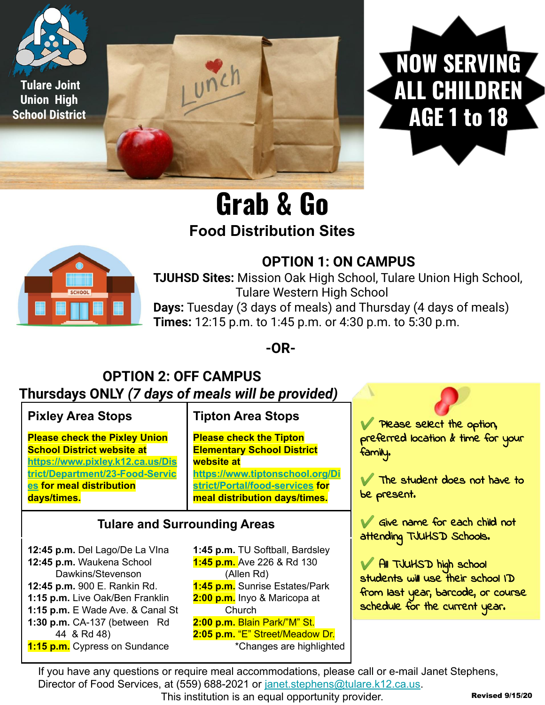



# **Grab & Go Food Distribution Sites**



#### **OPTION 1: ON CAMPUS**

**TJUHSD Sites:** Mission Oak High School, Tulare Union High School, Tulare Western High School

**Days:** Tuesday (3 days of meals) and Thursday (4 days of meals) **Times:** 12:15 p.m. to 1:45 p.m. or 4:30 p.m. to 5:30 p.m.

**-OR-**

#### **OPTION 2: OFF CAMPUS Thursdays ONLY** *(7 days of meals will be provided)*

**Pixley Area Stops**

**Please check the Pixley Union School District website at [https://www.pixley.k12.ca.us/Dis](https://www.pixley.k12.ca.us/District/Department/23-Food-Services) [trict/Department/23-Food-Servic](https://www.pixley.k12.ca.us/District/Department/23-Food-Services) [es](https://www.pixley.k12.ca.us/District/Department/23-Food-Services) for meal distribution days/times.**

#### **Tipton Area Stops**

**Please check the Tipton Elementary School District website at [https://www.tiptonschool.org/Di](https://www.tiptonschool.org/District/Portal/food-services) [strict/Portal/food-services](https://www.tiptonschool.org/District/Portal/food-services) for meal distribution days/times.**

**Tulare and Surrounding Areas**

**12:45 p.m.** Del Lago/De La VIna **12:45 p.m.** Waukena School Dawkins/Stevenson **12:45 p.m.** 900 E. Rankin Rd. **1:15 p.m.** Live Oak/Ben Franklin **1:15 p.m.** E Wade Ave. & Canal St **1:30 p.m.** CA-137 (between Rd 44 & Rd 48) **1:15 p.m.** Cypress on Sundance

**1:45 p.m.** TU Softball, Bardsley **1:45 p.m.** Ave 226 & Rd 130 (Allen Rd) **1:45 p.m.** Sunrise Estates/Park **2:00 p.m.** Inyo & Maricopa at **Church 2:00 p.m.** Blain Park/"M" St. **2:05 p.m.** "E" Street/Meadow Dr. \*Changes are highlighted

✔ Please select the option, preferred location & time for your family.

The student does not have to be present.

✔ Give name for each child not attending TJUHSD Schools.

✔ All TJUHSD high school students will use their school ID from last year, barcode, or course schedule for the current year.

If you have any questions or require meal accommodations, please call or e-mail Janet Stephens, Director of Food Services, at (559) 688-2021 or [janet.stephens@tulare.k12.ca.us.](mailto:janet.stephens@tulare.k12.ca.us)

This institution is an equal opportunity provider.